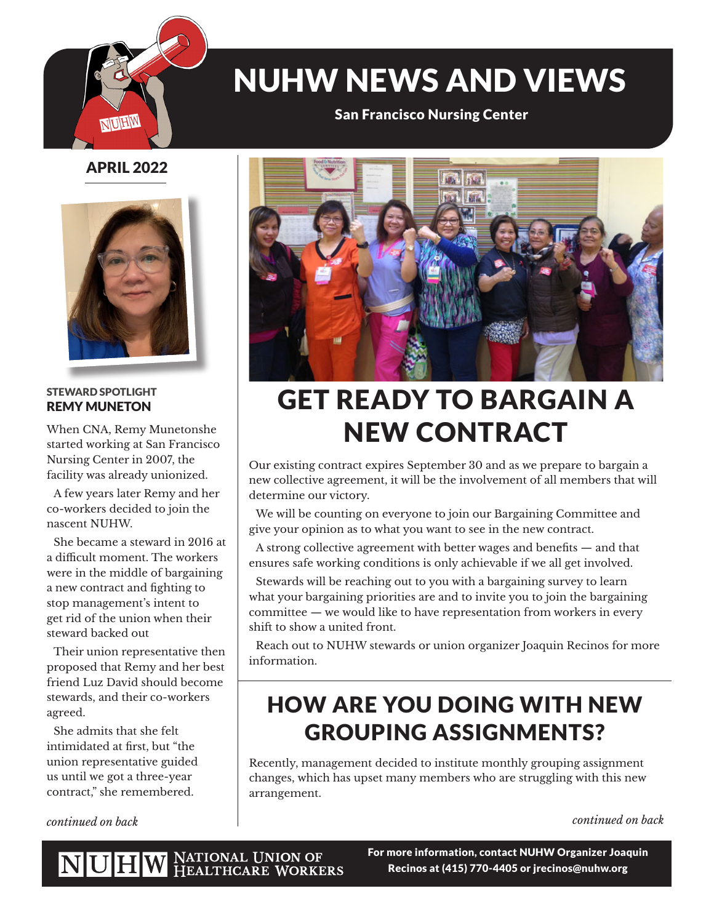

# NUHW NEWS AND VIEWS

San Francisco Nursing Center

### APRIL 2022



#### STEWARD SPOTLIGHT REMY MUNETON

When CNA, Remy Munetonshe started working at San Francisco Nursing Center in 2007, the facility was already unionized.

A few years later Remy and her co-workers decided to join the nascent NUHW.

She became a steward in 2016 at a difficult moment. The workers were in the middle of bargaining a new contract and fighting to stop management's intent to get rid of the union when their steward backed out

Their union representative then proposed that Remy and her best friend Luz David should become stewards, and their co-workers agreed.

She admits that she felt intimidated at first, but "the union representative guided us until we got a three-year contract," she remembered.

*continued on back*



## GET READY TO BARGAIN A NEW CONTRACT

Our existing contract expires September 30 and as we prepare to bargain a new collective agreement, it will be the involvement of all members that will determine our victory.

We will be counting on everyone to join our Bargaining Committee and give your opinion as to what you want to see in the new contract.

A strong collective agreement with better wages and benefits — and that ensures safe working conditions is only achievable if we all get involved.

Stewards will be reaching out to you with a bargaining survey to learn what your bargaining priorities are and to invite you to join the bargaining committee — we would like to have representation from workers in every shift to show a united front.

Reach out to NUHW stewards or union organizer Joaquin Recinos for more information.

## HOW ARE YOU DOING WITH NEW GROUPING ASSIGNMENTS?

Recently, management decided to institute monthly grouping assignment changes, which has upset many members who are struggling with this new arrangement.

*continued on back*

NATIONAL UNION OF<br>HEALTHCARE WORKERS NUHW

For more information, contact NUHW Organizer Joaquin Recinos at (415) 770-4405 or jrecinos@nuhw.org